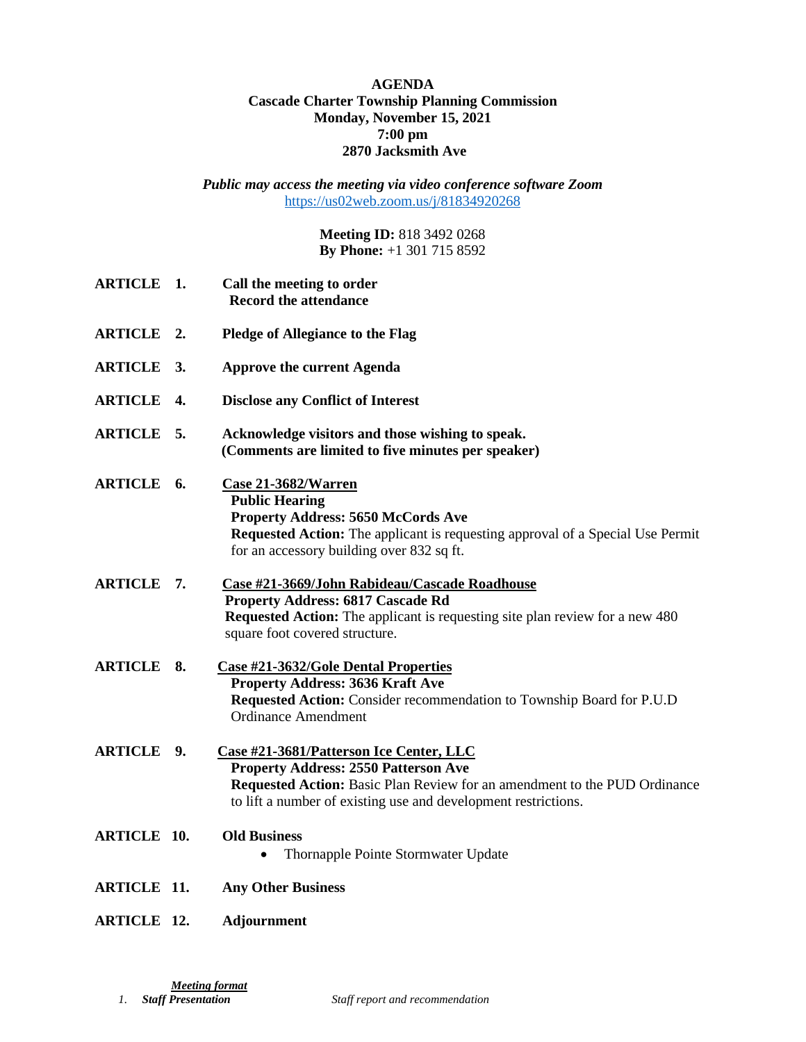## **AGENDA Cascade Charter Township Planning Commission Monday, November 15, 2021 7:00 pm 2870 Jacksmith Ave**

*Public may access the meeting via video conference software Zoom* <https://us02web.zoom.us/j/81834920268>

> **Meeting ID:** 818 3492 0268 **By Phone:** +1 301 715 8592

| <b>ARTICLE 1.</b>  | Call the meeting to order<br><b>Record the attendance</b>                                                                                                                                                                             |
|--------------------|---------------------------------------------------------------------------------------------------------------------------------------------------------------------------------------------------------------------------------------|
| <b>ARTICLE 2.</b>  | <b>Pledge of Allegiance to the Flag</b>                                                                                                                                                                                               |
| ARTICLE 3.         | <b>Approve the current Agenda</b>                                                                                                                                                                                                     |
| <b>ARTICLE 4.</b>  | <b>Disclose any Conflict of Interest</b>                                                                                                                                                                                              |
| ARTICLE 5.         | Acknowledge visitors and those wishing to speak.<br>(Comments are limited to five minutes per speaker)                                                                                                                                |
| ARTICLE 6.         | Case 21-3682/Warren<br><b>Public Hearing</b><br><b>Property Address: 5650 McCords Ave</b><br>Requested Action: The applicant is requesting approval of a Special Use Permit<br>for an accessory building over 832 sq ft.              |
| ARTICLE 7.         | Case #21-3669/John Rabideau/Cascade Roadhouse<br><b>Property Address: 6817 Cascade Rd</b><br><b>Requested Action:</b> The applicant is requesting site plan review for a new 480<br>square foot covered structure.                    |
| <b>ARTICLE 8.</b>  | <b>Case #21-3632/Gole Dental Properties</b><br><b>Property Address: 3636 Kraft Ave</b><br>Requested Action: Consider recommendation to Township Board for P.U.D<br><b>Ordinance Amendment</b>                                         |
| ARTICLE 9.         | Case #21-3681/Patterson Ice Center, LLC<br><b>Property Address: 2550 Patterson Ave</b><br>Requested Action: Basic Plan Review for an amendment to the PUD Ordinance<br>to lift a number of existing use and development restrictions. |
| <b>ARTICLE 10.</b> | <b>Old Business</b><br>Thornapple Pointe Stormwater Update<br>٠                                                                                                                                                                       |
| <b>ARTICLE 11.</b> | <b>Any Other Business</b>                                                                                                                                                                                                             |
| <b>ARTICLE 12.</b> | <b>Adjournment</b>                                                                                                                                                                                                                    |

*<u>Meeting format</u><br>1. Staff Presentation* 

 $Staff report and recommendation$